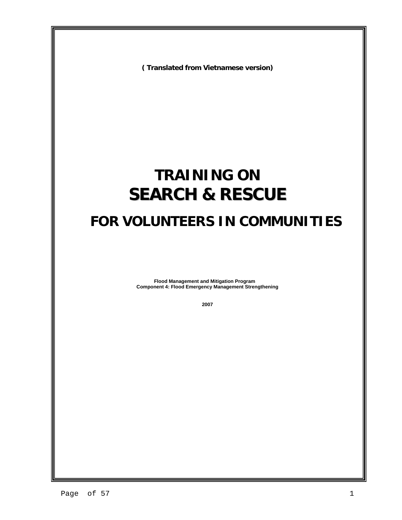**( Translated from Vietnamese version)** 

# **TRAINING ON SEARCH & RESCUE**

## **FOR VOLUNTEERS IN COMMUNITIES**

**Flood Management and Mitigation Program Component 4: Flood Emergency Management Strengthening** 

**2007**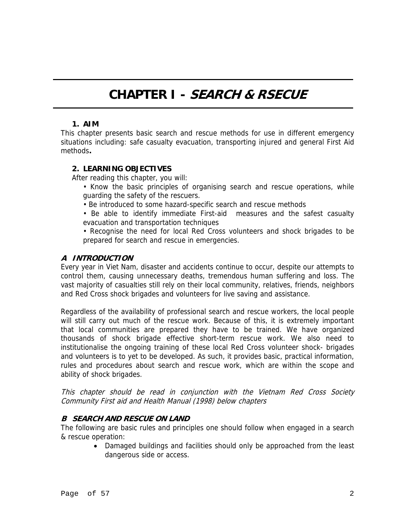## **CHAPTER I - SEARCH & RSECUE**

#### **1. AIM**

This chapter presents basic search and rescue methods for use in different emergency situations including: safe casualty evacuation, transporting injured and general First Aid methods**.** 

#### **2. LEARNING OBJECTIVES**

After reading this chapter, you will:

- Know the basic principles of organising search and rescue operations, while guarding the safety of the rescuers.
- Be introduced to some hazard-specific search and rescue methods
- Be able to identify immediate First-aid measures and the safest casualty evacuation and transportation techniques
- Recognise the need for local Red Cross volunteers and shock brigades to be prepared for search and rescue in emergencies.

## **A INTRODUCTION**

Every year in Viet Nam, disaster and accidents continue to occur, despite our attempts to control them, causing unnecessary deaths, tremendous human suffering and loss. The vast majority of casualties still rely on their local community, relatives, friends, neighbors and Red Cross shock brigades and volunteers for live saving and assistance.

Regardless of the availability of professional search and rescue workers, the local people will still carry out much of the rescue work. Because of this, it is extremely important that local communities are prepared they have to be trained. We have organized thousands of shock brigade effective short-term rescue work. We also need to institutionalise the ongoing training of these local Red Cross volunteer shock- brigades and volunteers is to yet to be developed. As such, it provides basic, practical information, rules and procedures about search and rescue work, which are within the scope and ability of shock brigades.

This chapter should be read in conjunction with the Vietnam Red Cross Society Community First aid and Health Manual (1998) below chapters

## **B SEARCH AND RESCUE ON LAND**

The following are basic rules and principles one should follow when engaged in a search & rescue operation:

> • Damaged buildings and facilities should only be approached from the least dangerous side or access.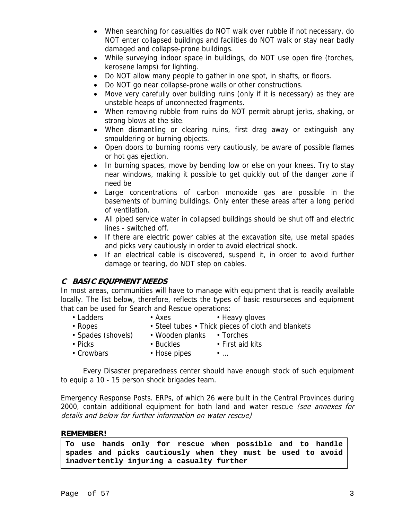- When searching for casualties do NOT walk over rubble if not necessary, do NOT enter collapsed buildings and facilities do NOT walk or stay near badly damaged and collapse-prone buildings.
- While surveying indoor space in buildings, do NOT use open fire (torches, kerosene lamps) for lighting.
- Do NOT allow many people to gather in one spot, in shafts, or floors.
- Do NOT go near collapse-prone walls or other constructions.
- Move very carefully over building ruins (only if it is necessary) as they are unstable heaps of unconnected fragments.
- When removing rubble from ruins do NOT permit abrupt jerks, shaking, or strong blows at the site.
- When dismantling or clearing ruins, first drag away or extinguish any smouldering or burning objects.
- Open doors to burning rooms very cautiously, be aware of possible flames or hot gas ejection.
- In burning spaces, move by bending low or else on your knees. Try to stay near windows, making it possible to get quickly out of the danger zone if need be
- Large concentrations of carbon monoxide gas are possible in the basements of burning buildings. Only enter these areas after a long period of ventilation.
- All piped service water in collapsed buildings should be shut off and electric lines - switched off.
- If there are electric power cables at the excavation site, use metal spades and picks very cautiously in order to avoid electrical shock.
- If an electrical cable is discovered, suspend it, in order to avoid further damage or tearing, do NOT step on cables.

## **C BASIC EQUPMENT NEEDS**

In most areas, communities will have to manage with equipment that is readily available locally. The list below, therefore, reflects the types of basic resourseces and equipment that can be used for Search and Rescue operations:

- Ladders Axes Heavy gloves
	-
- Ropes Steel tubes Thick pieces of cloth and blankets
- 
- Spades (shovels) Wooden planks Torches
- Picks Buckles First aid kits
- Crowbars Hose pipes …

Every Disaster preparedness center should have enough stock of such equipment to equip a 10 - 15 person shock brigades team.

Emergency Response Posts. ERPs, of which 26 were built in the Central Provinces during 2000, contain additional equipment for both land and water rescue (see annexes for details and below for further information on water rescue)

#### **REMEMBER!**

**To use hands only for rescue when possible and to handle spades and picks cautiously when they must be used to avoid inadvertently injuring a casualty further**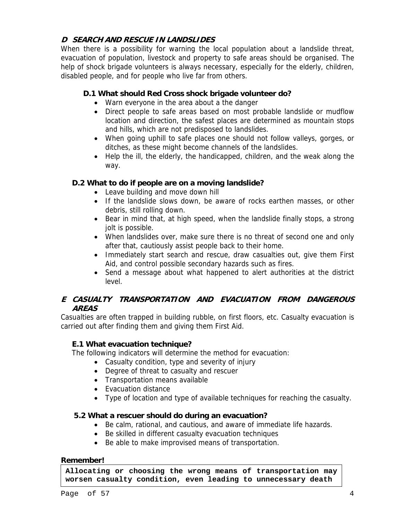## **D SEARCH AND RESCUE IN LANDSLIDES**

When there is a possibility for warning the local population about a landslide threat, evacuation of population, livestock and property to safe areas should be organised. The help of shock brigade volunteers is always necessary, especially for the elderly, children, disabled people, and for people who live far from others.

## **D.1 What should Red Cross shock brigade volunteer do?**

- Warn everyone in the area about a the danger
- Direct people to safe areas based on most probable landslide or mudflow location and direction, the safest places are determined as mountain stops and hills, which are not predisposed to landslides.
- When going uphill to safe places one should not follow valleys, gorges, or ditches, as these might become channels of the landslides.
- Help the ill, the elderly, the handicapped, children, and the weak along the way.

## **D.2 What to do if people are on a moving landslide?**

- Leave building and move down hill
- If the landslide slows down, be aware of rocks earthen masses, or other debris, still rolling down.
- Bear in mind that, at high speed, when the landslide finally stops, a strong jolt is possible.
- When landslides over, make sure there is no threat of second one and only after that, cautiously assist people back to their home.
- Immediately start search and rescue, draw casualties out, give them First Aid, and control possible secondary hazards such as fires.
- Send a message about what happened to alert authorities at the district level.

## **E CASUALTY TRANSPORTATION AND EVACUATION FROM DANGEROUS AREAS**

Casualties are often trapped in building rubble, on first floors, etc. Casualty evacuation is carried out after finding them and giving them First Aid.

## **E.1 What evacuation technique?**

The following indicators will determine the method for evacuation:

- Casualty condition, type and severity of injury
- Degree of threat to casualty and rescuer
- Transportation means available
- Evacuation distance
- Type of location and type of available techniques for reaching the casualty.

## **5.2 What a rescuer should do during an evacuation?**

- Be calm, rational, and cautious, and aware of immediate life hazards.
- Be skilled in different casualty evacuation techniques
- Be able to make improvised means of transportation.

#### **Remember!**

**Allocating or choosing the wrong means of transportation may worsen casualty condition, even leading to unnecessary death**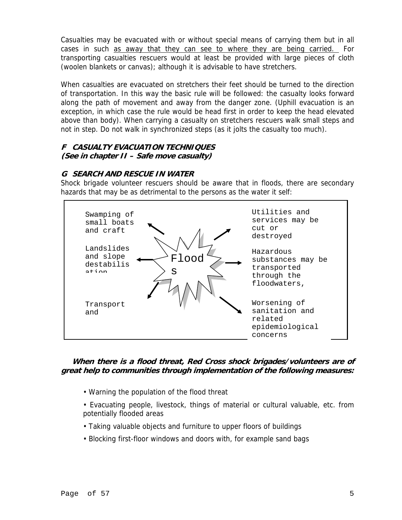Casualties may be evacuated with or without special means of carrying them but in all cases in such as away that they can see to where they are being carried. For transporting casualties rescuers would at least be provided with large pieces of cloth (woolen blankets or canvas); although it is advisable to have stretchers.

When casualties are evacuated on stretchers their feet should be turned to the direction of transportation. In this way the basic rule will be followed: the casualty looks forward along the path of movement and away from the danger zone. (Uphill evacuation is an exception, in which case the rule would be head first in order to keep the head elevated above than body). When carrying a casualty on stretchers rescuers walk small steps and not in step. Do not walk in synchronized steps (as it jolts the casualty too much).

## **F CASUALTY EVACUATION TECHNIQUES (See in chapter II – Safe move casualty)**

#### **G SEARCH AND RESCUE IN WATER**

Shock brigade volunteer rescuers should be aware that in floods, there are secondary hazards that may be as detrimental to the persons as the water it self:



## **When there is a flood threat, Red Cross shock brigades/volunteers are of great help to communities through implementation of the following measures:**

- Warning the population of the flood threat
- Evacuating people, livestock, things of material or cultural valuable, etc. from potentially flooded areas
- Taking valuable objects and furniture to upper floors of buildings
- Blocking first-floor windows and doors with, for example sand bags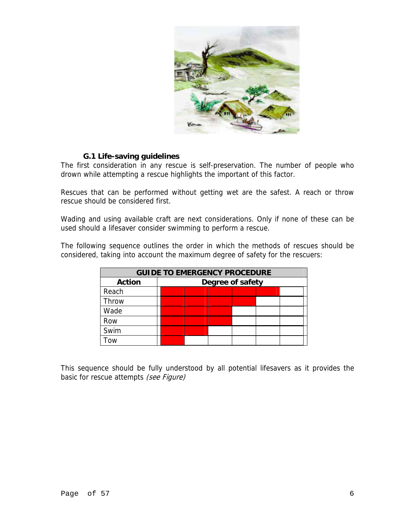

#### **G.1 Life-saving guidelines**

The first consideration in any rescue is self-preservation. The number of people who drown while attempting a rescue highlights the important of this factor.

Rescues that can be performed without getting wet are the safest. A reach or throw rescue should be considered first.

Wading and using available craft are next considerations. Only if none of these can be used should a lifesaver consider swimming to perform a rescue.

The following sequence outlines the order in which the methods of rescues should be considered, taking into account the maximum degree of safety for the rescuers:

| <b>GUIDE TO EMERGENCY PROCEDURE</b> |                  |  |  |  |  |  |
|-------------------------------------|------------------|--|--|--|--|--|
| <b>Action</b>                       | Degree of safety |  |  |  |  |  |
| Reach                               |                  |  |  |  |  |  |
| Throw                               |                  |  |  |  |  |  |
| Wade                                |                  |  |  |  |  |  |
| Row                                 |                  |  |  |  |  |  |
| Swim                                |                  |  |  |  |  |  |
| `OW                                 |                  |  |  |  |  |  |

This sequence should be fully understood by all potential lifesavers as it provides the basic for rescue attempts (see Figure)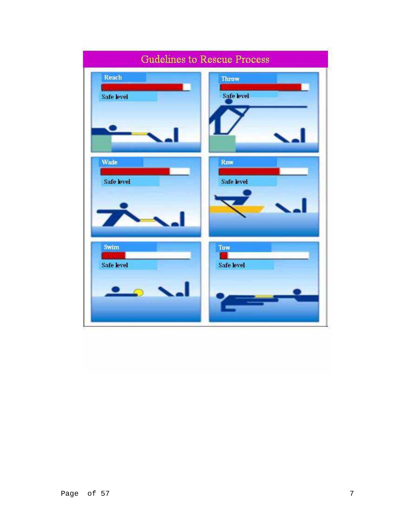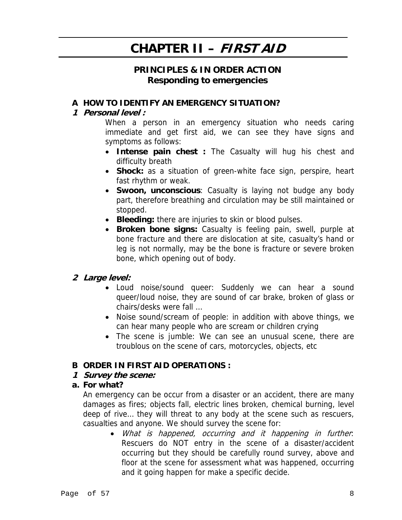## **CHAPTER II – FIRST AID** ٦

## **PRINCIPLES & IN ORDER ACTION Responding to emergencies**

## **A HOW TO IDENTIFY AN EMERGENCY SITUATION?**

## **1 Personal level :**

When a person in an emergency situation who needs caring immediate and get first aid, we can see they have signs and symptoms as follows:

- **Intense pain chest :** The Casualty will hug his chest and difficulty breath
- **Shock:** as a situation of green-white face sign, perspire, heart fast rhythm or weak.
- **Swoon, unconscious**: Casualty is laying not budge any body part, therefore breathing and circulation may be still maintained or stopped.
- **Bleeding:** there are injuries to skin or blood pulses.
- **Broken bone signs:** Casualty is feeling pain, swell, purple at bone fracture and there are dislocation at site, casualty's hand or leg is not normally, may be the bone is fracture or severe broken bone, which opening out of body.

## **2 Large level:**

- Loud noise/sound queer: Suddenly we can hear a sound queer/loud noise, they are sound of car brake, broken of glass or chairs/desks were fall …
- Noise sound/scream of people: in addition with above things, we can hear many people who are scream or children crying
- The scene is jumble: We can see an unusual scene, there are troublous on the scene of cars, motorcycles, objects, etc

## **B ORDER IN FIRST AID OPERATIONS :**

## **1 Survey the scene:**

## **a. For what?**

An emergency can be occur from a disaster or an accident, there are many damages as fires; objects fall, electric lines broken, chemical burning, level deep of rive… they will threat to any body at the scene such as rescuers, casualties and anyone. We should survey the scene for:

• What is happened, occurring and it happening in further. Rescuers do NOT entry in the scene of a disaster/accident occurring but they should be carefully round survey, above and floor at the scene for assessment what was happened, occurring and it going happen for make a specific decide.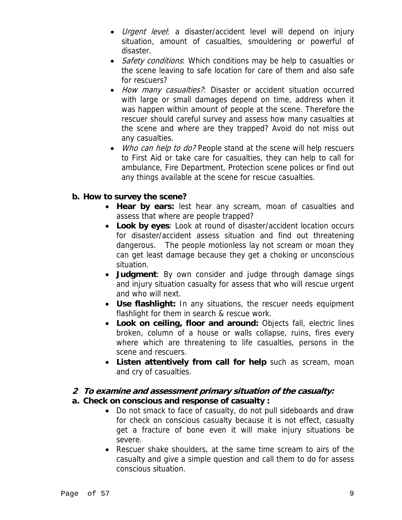- *Urgent level*: a disaster/accident level will depend on injury situation, amount of casualties, smouldering or powerful of disaster.
- Safety conditions: Which conditions may be help to casualties or the scene leaving to safe location for care of them and also safe for rescuers?
- How many casualties?. Disaster or accident situation occurred with large or small damages depend on time, address when it was happen within amount of people at the scene. Therefore the rescuer should careful survey and assess how many casualties at the scene and where are they trapped? Avoid do not miss out any casualties.
- Who can help to do? People stand at the scene will help rescuers to First Aid or take care for casualties, they can help to call for ambulance, Fire Department, Protection scene polices or find out any things available at the scene for rescue casualties.

## **b. How to survey the scene?**

- **Hear by ears:** lest hear any scream, moan of casualties and assess that where are people trapped?
- **Look by eyes**: Look at round of disaster/accident location occurs for disaster/accident assess situation and find out threatening dangerous. The people motionless lay not scream or moan they can get least damage because they get a choking or unconscious situation.
- **Judgment**: By own consider and judge through damage sings and injury situation casualty for assess that who will rescue urgent and who will next.
- **Use flashlight:** In any situations, the rescuer needs equipment flashlight for them in search & rescue work.
- **Look on ceiling, floor and around:** Objects fall, electric lines broken, column of a house or walls collapse, ruins, fires every where which are threatening to life casualties, persons in the scene and rescuers.
- **Listen attentively from call for help** such as scream, moan and cry of casualties.

## **2 To examine and assessment primary situation of the casualty:**

- **a. Check on conscious and response of casualty :** 
	- Do not smack to face of casualty, do not pull sideboards and draw for check on conscious casualty because it is not effect, casualty get a fracture of bone even it will make injury situations be severe.
	- Rescuer shake shoulders, at the same time scream to airs of the casualty and give a simple question and call them to do for assess conscious situation.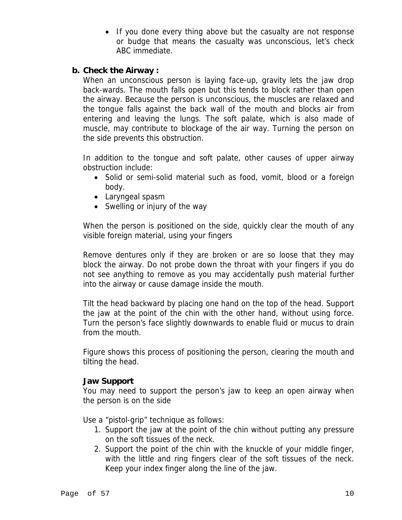• If you done every thing above but the casualty are not response or budge that means the casualty was unconscious, let's check ABC immediate.

### **b. Check the Airway :**

When an unconscious person is laying face-up, gravity lets the jaw drop back-wards. The mouth falls open but this tends to block rather than open the airway. Because the person is unconscious, the muscles are relaxed and the tongue falls against the back wall of the mouth and blocks air from entering and leaving the lungs. The soft palate, which is also made of muscle, may contribute to blockage of the air way. Turning the person on the side prevents this obstruction.

In addition to the tongue and soft palate, other causes of upper airway obstruction include:

- Solid or semi-solid material such as food, vomit, blood or a foreign body.
- Laryngeal spasm
- Swelling or injury of the way

When the person is positioned on the side, quickly clear the mouth of any visible foreign material, using your fingers

Remove dentures only if they are broken or are so loose that they may block the airway. Do not probe down the throat with your fingers if you do not see anything to remove as you may accidentally push material further into the airway or cause damage inside the mouth.

Tilt the head backward by placing one hand on the top of the head. Support the jaw at the point of the chin with the other hand, without using force. Turn the person's face slightly downwards to enable fluid or mucus to drain from the mouth.

Figure shows this process of positioning the person, clearing the mouth and tilting the head.

#### **Jaw Support**

You may need to support the person's jaw to keep an open airway when the person is on the side

Use a "pistol-grip" technique as follows:

- 1. Support the jaw at the point of the chin without putting any pressure on the soft tissues of the neck.
- 2. Support the point of the chin with the knuckle of your middle finger, with the little and ring fingers clear of the soft tissues of the neck. Keep your index finger along the line of the jaw.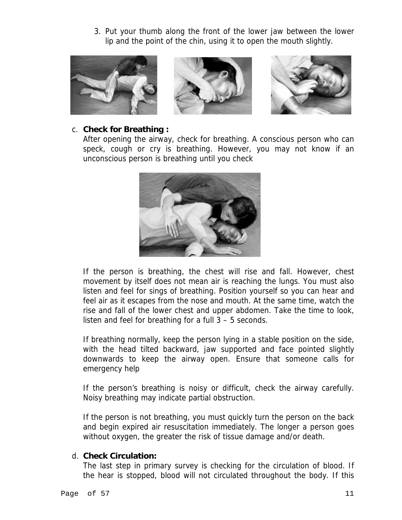3. Put your thumb along the front of the lower jaw between the lower lip and the point of the chin, using it to open the mouth slightly.



### c. **Check for Breathing :**

After opening the airway, check for breathing. A conscious person who can speck, cough or cry is breathing. However, you may not know if an unconscious person is breathing until you check



If the person is breathing, the chest will rise and fall. However, chest movement by itself does not mean air is reaching the lungs. You must also listen and feel for sings of breathing. Position yourself so you can hear and feel air as it escapes from the nose and mouth. At the same time, watch the rise and fall of the lower chest and upper abdomen. Take the time to look, listen and feel for breathing for a full 3 – 5 seconds.

If breathing normally, keep the person lying in a stable position on the side, with the head tilted backward, jaw supported and face pointed slightly downwards to keep the airway open. Ensure that someone calls for emergency help

If the person's breathing is noisy or difficult, check the airway carefully. Noisy breathing may indicate partial obstruction.

If the person is not breathing, you must quickly turn the person on the back and begin expired air resuscitation immediately. The longer a person goes without oxygen, the greater the risk of tissue damage and/or death.

## d. **Check Circulation:**

The last step in primary survey is checking for the circulation of blood. If the hear is stopped, blood will not circulated throughout the body. If this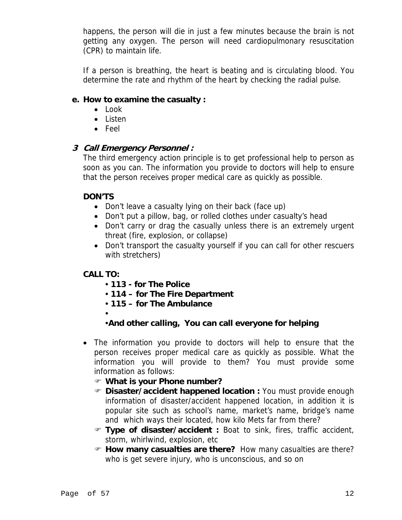happens, the person will die in just a few minutes because the brain is not getting any oxygen. The person will need cardiopulmonary resuscitation (CPR) to maintain life.

If a person is breathing, the heart is beating and is circulating blood. You determine the rate and rhythm of the heart by checking the radial pulse.

## **e. How to examine the casualty :**

- Look
- Listen
- Feel

## **3 Call Emergency Personnel :**

The third emergency action principle is to get professional help to person as soon as you can. The information you provide to doctors will help to ensure that the person receives proper medical care as quickly as possible.

## **DON'TS**

- Don't leave a casualty lying on their back (face up)
- Don't put a pillow, bag, or rolled clothes under casualty's head
- Don't carry or drag the casually unless there is an extremely urgent threat (fire, explosion, or collapse)
- Don't transport the casualty yourself if you can call for other rescuers with stretchers)

## **CALL TO:**

- • **113 for The Police**
- • **114 for The Fire Department**
- • **115 for The Ambulance**
- •

## •**And other calling, You can call everyone for helping**

- The information you provide to doctors will help to ensure that the person receives proper medical care as quickly as possible. What the information you will provide to them? You must provide some information as follows:
	- **What is your Phone number?**
	- **Disaster/accident happened location :** You must provide enough information of disaster/accident happened location, in addition it is popular site such as school's name, market's name, bridge's name and which ways their located, how kilo Mets far from there?
	- **Type of disaster/accident :** Boat to sink, fires, traffic accident, storm, whirlwind, explosion, etc
	- **How many casualties are there?** How many casualties are there? who is get severe injury, who is unconscious, and so on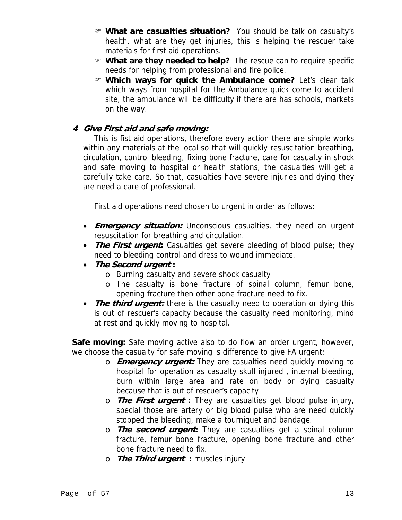- **What are casualties situation?** You should be talk on casualty's health, what are they get injuries, this is helping the rescuer take materials for first aid operations.
- **What are they needed to help?** The rescue can to require specific needs for helping from professional and fire police.
- **Which ways for quick the Ambulance come?** Let's clear talk which ways from hospital for the Ambulance quick come to accident site, the ambulance will be difficulty if there are has schools, markets on the way.

## **4 Give First aid and safe moving:**

This is fist aid operations, therefore every action there are simple works within any materials at the local so that will quickly resuscitation breathing, circulation, control bleeding, fixing bone fracture, care for casualty in shock and safe moving to hospital or health stations, the casualties will get a carefully take care. So that, casualties have severe injuries and dying they are need a care of professional.

First aid operations need chosen to urgent in order as follows:

- **Emergency situation:** Unconscious casualties, they need an urgent resuscitation for breathing and circulation.
- **The First urgent:** Casualties get severe bleeding of blood pulse; they need to bleeding control and dress to wound immediate.
- **The Second urgent :** 
	- o Burning casualty and severe shock casualty
	- o The casualty is bone fracture of spinal column, femur bone, opening fracture then other bone fracture need to fix.
- **The third urgent:** there is the casualty need to operation or dying this is out of rescuer's capacity because the casualty need monitoring, mind at rest and quickly moving to hospital.

**Safe moving:** Safe moving active also to do flow an order urgent, however, we choose the casualty for safe moving is difference to give FA urgent:

- o **Emergency urgent:** They are casualties need quickly moving to hospital for operation as casualty skull injured , internal bleeding, burn within large area and rate on body or dying casualty because that is out of rescuer's capacity
- o **The First urgent :** They are casualties get blood pulse injury, special those are artery or big blood pulse who are need quickly stopped the bleeding, make a tourniquet and bandage.
- o **The second urgent:** They are casualties get a spinal column fracture, femur bone fracture, opening bone fracture and other bone fracture need to fix.
- o **The Third urgent :** muscles injury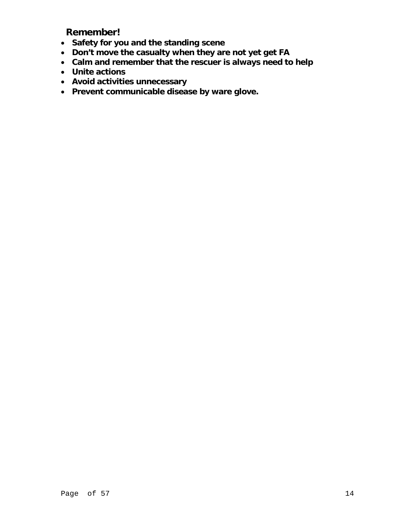**Remember!**

- **Safety for you and the standing scene**
- **Don't move the casualty when they are not yet get FA**
- **Calm and remember that the rescuer is always need to help**
- **Unite actions**
- **Avoid activities unnecessary**
- **Prevent communicable disease by ware glove.**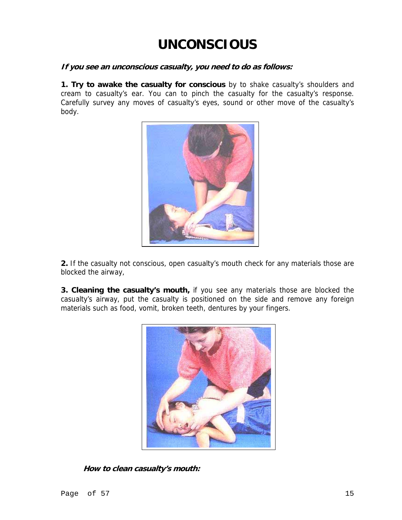## **UNCONSCIOUS**

#### **If you see an unconscious casualty, you need to do as follows:**

**1. Try to awake the casualty for conscious** by to shake casualty's shoulders and cream to casualty's ear. You can to pinch the casualty for the casualty's response. Carefully survey any moves of casualty's eyes, sound or other move of the casualty's body.



**2.** If the casualty not conscious, open casualty's mouth check for any materials those are blocked the airway,

**3. Cleaning the casualty's mouth,** if you see any materials those are blocked the casualty's airway, put the casualty is positioned on the side and remove any foreign materials such as food, vomit, broken teeth, dentures by your fingers.



**How to clean casualty's mouth:**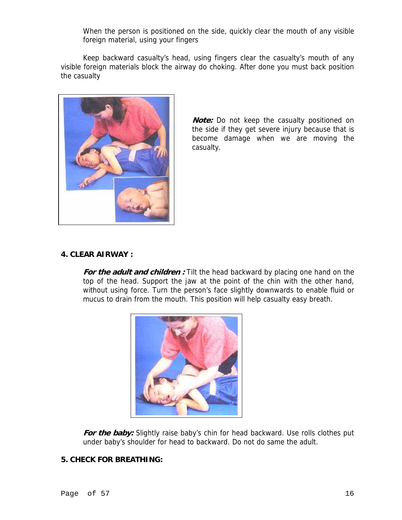When the person is positioned on the side, quickly clear the mouth of any visible foreign material, using your fingers

Keep backward casualty's head, using fingers clear the casualty's mouth of any visible foreign materials block the airway do choking. After done you must back position the casualty



**Note:** Do not keep the casualty positioned on the side if they get severe injury because that is become damage when we are moving the casualty.

## **4. CLEAR AIRWAY :**

**For the adult and children**: Tilt the head backward by placing one hand on the top of the head. Support the jaw at the point of the chin with the other hand, without using force. Turn the person's face slightly downwards to enable fluid or mucus to drain from the mouth. This position will help casualty easy breath.



For the baby: Slightly raise baby's chin for head backward. Use rolls clothes put under baby's shoulder for head to backward. Do not do same the adult.

## **5. CHECK FOR BREATHING:**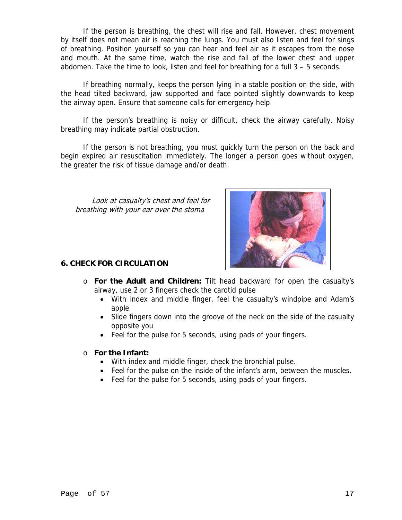If the person is breathing, the chest will rise and fall. However, chest movement by itself does not mean air is reaching the lungs. You must also listen and feel for sings of breathing. Position yourself so you can hear and feel air as it escapes from the nose and mouth. At the same time, watch the rise and fall of the lower chest and upper abdomen. Take the time to look, listen and feel for breathing for a full 3 – 5 seconds.

 If breathing normally, keeps the person lying in a stable position on the side, with the head tilted backward, jaw supported and face pointed slightly downwards to keep the airway open. Ensure that someone calls for emergency help

 If the person's breathing is noisy or difficult, check the airway carefully. Noisy breathing may indicate partial obstruction.

If the person is not breathing, you must quickly turn the person on the back and begin expired air resuscitation immediately. The longer a person goes without oxygen, the greater the risk of tissue damage and/or death.

Look at casualty's chest and feel for breathing with your ear over the stoma



#### **6. CHECK FOR CIRCULATION**

- o **For the Adult and Children:** Tilt head backward for open the casualty's airway, use 2 or 3 fingers check the carotid pulse
	- With index and middle finger, feel the casualty's windpipe and Adam's apple
	- Slide fingers down into the groove of the neck on the side of the casualty opposite you
	- Feel for the pulse for 5 seconds, using pads of your fingers.

#### o **For the Infant:**

- With index and middle finger, check the bronchial pulse.
- Feel for the pulse on the inside of the infant's arm, between the muscles.
- Feel for the pulse for 5 seconds, using pads of your fingers.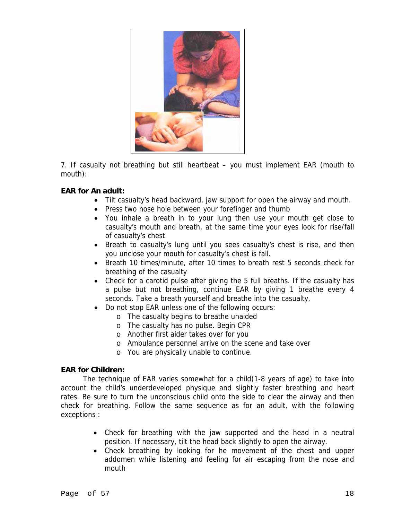

7. If casualty not breathing but still heartbeat – you must implement EAR (mouth to mouth):

## **EAR for An adult:**

- Tilt casualty's head backward, jaw support for open the airway and mouth.
- Press two nose hole between your forefinger and thumb
- You inhale a breath in to your lung then use your mouth get close to casualty's mouth and breath, at the same time your eyes look for rise/fall of casualty's chest.
- Breath to casualty's lung until you sees casualty's chest is rise, and then you unclose your mouth for casualty's chest is fall.
- Breath 10 times/minute, after 10 times to breath rest 5 seconds check for breathing of the casualty
- Check for a carotid pulse after giving the 5 full breaths. If the casualty has a pulse but not breathing, continue EAR by giving 1 breathe every 4 seconds. Take a breath yourself and breathe into the casualty.
- Do not stop EAR unless one of the following occurs:
	- o The casualty begins to breathe unaided
	- o The casualty has no pulse. Begin CPR
	- o Another first aider takes over for you
	- o Ambulance personnel arrive on the scene and take over
	- o You are physically unable to continue.

#### **EAR for Children:**

The technique of EAR varies somewhat for a child(1-8 years of age) to take into account the child's underdeveloped physique and slightly faster breathing and heart rates. Be sure to turn the unconscious child onto the side to clear the airway and then check for breathing. Follow the same sequence as for an adult, with the following exceptions :

- Check for breathing with the jaw supported and the head in a neutral position. If necessary, tilt the head back slightly to open the airway.
- Check breathing by looking for he movement of the chest and upper addomen while listening and feeling for air escaping from the nose and mouth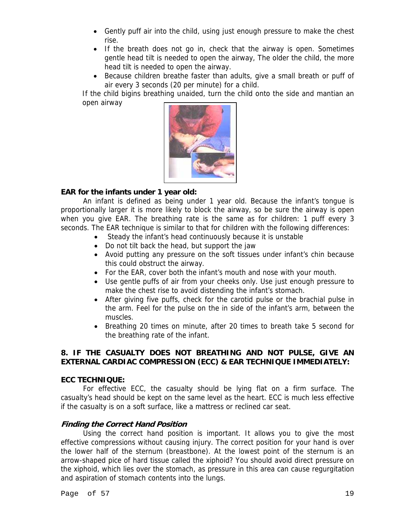- Gently puff air into the child, using just enough pressure to make the chest rise.
- If the breath does not go in, check that the airway is open. Sometimes gentle head tilt is needed to open the airway, The older the child, the more head tilt is needed to open the airway.
- Because children breathe faster than adults, give a small breath or puff of air every 3 seconds (20 per minute) for a child.

If the child bigins breathing unaided, turn the child onto the side and mantian an open airway



#### **EAR for the infants under 1 year old:**

An infant is defined as being under 1 year old. Because the infant's tongue is proportionally larger it is more likely to block the airway, so be sure the airway is open when you give EAR. The breathing rate is the same as for children: 1 puff every 3 seconds. The EAR technique is similar to that for children with the following differences:

- Steady the infant's head continuously because it is unstable
- Do not tilt back the head, but support the jaw
- Avoid putting any pressure on the soft tissues under infant's chin because this could obstruct the airway.
- For the EAR, cover both the infant's mouth and nose with your mouth.
- Use gentle puffs of air from your cheeks only. Use just enough pressure to make the chest rise to avoid distending the infant's stomach.
- After giving five puffs, check for the carotid pulse or the brachial pulse in the arm. Feel for the pulse on the in side of the infant's arm, between the muscles.
- Breathing 20 times on minute, after 20 times to breath take 5 second for the breathing rate of the infant.

#### **8. IF THE CASUALTY DOES NOT BREATHING AND NOT PULSE, GIVE AN EXTERNAL CARDIAC COMPRESSION (ECC) & EAR TECHNIQUE IMMEDIATELY:**

#### **ECC TECHNIQUE:**

For effective ECC, the casualty should be lying flat on a firm surface. The casualty's head should be kept on the same level as the heart. ECC is much less effective if the casualty is on a soft surface, like a mattress or reclined car seat.

#### **Finding the Correct Hand Position**

Using the correct hand position is important. It allows you to give the most effective compressions without causing injury. The correct position for your hand is over the lower half of the sternum (breastbone). At the lowest point of the sternum is an arrow-shaped pice of hard tissue called the xiphoid? You should avoid direct pressure on the xiphoid, which lies over the stomach, as pressure in this area can cause regurgitation and aspiration of stomach contents into the lungs.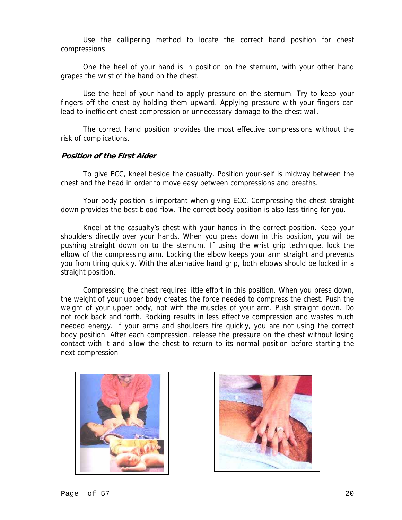Use the callipering method to locate the correct hand position for chest compressions

One the heel of your hand is in position on the sternum, with your other hand grapes the wrist of the hand on the chest.

Use the heel of your hand to apply pressure on the sternum. Try to keep your fingers off the chest by holding them upward. Applying pressure with your fingers can lead to inefficient chest compression or unnecessary damage to the chest wall.

The correct hand position provides the most effective compressions without the risk of complications.

#### **Position of the First Aider**

To give ECC, kneel beside the casualty. Position your-self is midway between the chest and the head in order to move easy between compressions and breaths.

Your body position is important when giving ECC. Compressing the chest straight down provides the best blood flow. The correct body position is also less tiring for you.

Kneel at the casualty's chest with your hands in the correct position. Keep your shoulders directly over your hands. When you press down in this position, you will be pushing straight down on to the sternum. If using the wrist grip technique, lock the elbow of the compressing arm. Locking the elbow keeps your arm straight and prevents you from tiring quickly. With the alternative hand grip, both elbows should be locked in a straight position.

Compressing the chest requires little effort in this position. When you press down, the weight of your upper body creates the force needed to compress the chest. Push the weight of your upper body, not with the muscles of your arm. Push straight down. Do not rock back and forth. Rocking results in less effective compression and wastes much needed energy. If your arms and shoulders tire quickly, you are not using the correct body position. After each compression, release the pressure on the chest without losing contact with it and allow the chest to return to its normal position before starting the next compression



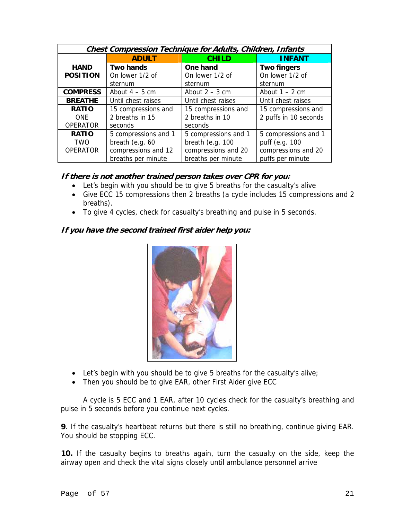| <b>Chest Compression Technique for Adults, Children, Infants</b> |                      |                      |                       |  |  |
|------------------------------------------------------------------|----------------------|----------------------|-----------------------|--|--|
|                                                                  | <b>ADULT</b>         | <b>CHILD</b>         | <b>INFANT</b>         |  |  |
| <b>HAND</b>                                                      | <b>Two hands</b>     | One hand             | <b>Two fingers</b>    |  |  |
| <b>POSITION</b>                                                  | On lower 1/2 of      | On lower 1/2 of      | On lower 1/2 of       |  |  |
|                                                                  | sternum              | sternum              | sternum               |  |  |
| <b>COMPRESS</b>                                                  | About $4-5$ cm       | About $2 - 3$ cm     | About $1 - 2$ cm      |  |  |
| <b>BREATHE</b>                                                   | Until chest raises   | Until chest raises   | Until chest raises    |  |  |
| <b>RATIO</b>                                                     | 15 compressions and  | 15 compressions and  | 15 compressions and   |  |  |
| <b>ONF</b>                                                       | 2 breaths in 15      | 2 breaths in 10      | 2 puffs in 10 seconds |  |  |
| <b>OPERATOR</b>                                                  | seconds              | seconds              |                       |  |  |
| <b>RATIO</b>                                                     | 5 compressions and 1 | 5 compressions and 1 | 5 compressions and 1  |  |  |
| <b>TWO</b>                                                       | breath (e.g. 60      | breath (e.g. $100$   | puff (e.g. 100        |  |  |
| <b>OPERATOR</b>                                                  | compressions and 12  | compressions and 20  | compressions and 20   |  |  |
|                                                                  | breaths per minute   | breaths per minute   | puffs per minute      |  |  |

## **If there is not another trained person takes over CPR for you:**

- Let's begin with you should be to give 5 breaths for the casualty's alive
- Give ECC 15 compressions then 2 breaths (a cycle includes 15 compressions and 2 breaths).
- To give 4 cycles, check for casualty's breathing and pulse in 5 seconds.

## **If you have the second trained first aider help you:**



- Let's begin with you should be to give 5 breaths for the casualty's alive;
- Then you should be to give EAR, other First Aider give ECC

A cycle is 5 ECC and 1 EAR, after 10 cycles check for the casualty's breathing and pulse in 5 seconds before you continue next cycles.

**9**. If the casualty's heartbeat returns but there is still no breathing, continue giving EAR. You should be stopping ECC.

**10.** If the casualty begins to breaths again, turn the casualty on the side, keep the airway open and check the vital signs closely until ambulance personnel arrive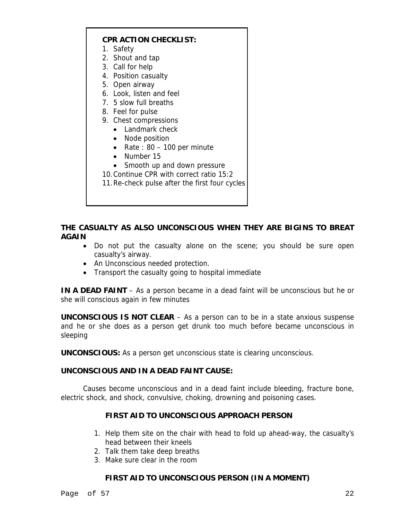#### **CPR ACTION CHECKLIST:**

- 1. Safety
- 2. Shout and tap
- 3. Call for help
- 4. Position casualty
- 5. Open airway
- 6. Look, listen and feel
- 7. 5 slow full breaths
- 8. Feel for pulse
- 9. Chest compressions
	- Landmark check
	- Node position
	- Rate :  $80 100$  per minute
	- Number 15
	- Smooth up and down pressure
- 10.Continue CPR with correct ratio 15:2
- 11.Re-check pulse after the first four cycles

#### **THE CASUALTY AS ALSO UNCONSCIOUS WHEN THEY ARE BIGINS TO BREAT AGAIN**

- Do not put the casualty alone on the scene; you should be sure open casualty's airway.
- An Unconscious needed protection.
- Transport the casualty going to hospital immediate

**IN A DEAD FAINT** – As a person became in a dead faint will be unconscious but he or she will conscious again in few minutes

**UNCONSCIOUS IS NOT CLEAR** – As a person can to be in a state anxious suspense and he or she does as a person get drunk too much before became unconscious in sleeping

**UNCONSCIOUS:** As a person get unconscious state is clearing unconscious.

#### **UNCONSCIOUS AND IN A DEAD FAINT CAUSE:**

Causes become unconscious and in a dead faint include bleeding, fracture bone, electric shock, and shock, convulsive, choking, drowning and poisoning cases.

## **FIRST AID TO UNCONSCIOUS APPROACH PERSON**

- 1. Help them site on the chair with head to fold up ahead-way, the casualty's head between their kneels
- 2. Talk them take deep breaths
- 3. Make sure clear in the room

#### **FIRST AID TO UNCONSCIOUS PERSON (IN A MOMENT)**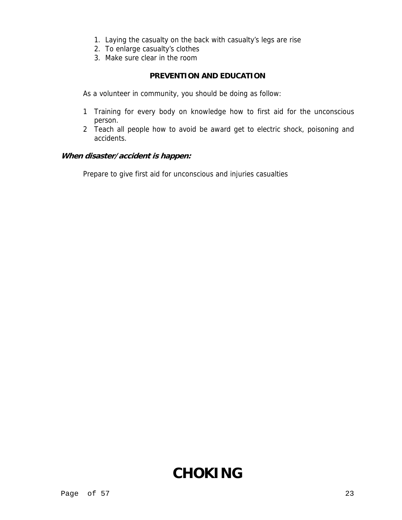- 1. Laying the casualty on the back with casualty's legs are rise
- 2. To enlarge casualty's clothes
- 3. Make sure clear in the room

#### **PREVENTION AND EDUCATION**

As a volunteer in community, you should be doing as follow:

- 1 Training for every body on knowledge how to first aid for the unconscious person.
- 2 Teach all people how to avoid be award get to electric shock, poisoning and accidents.

#### **When disaster/accident is happen:**

Prepare to give first aid for unconscious and injuries casualties

# **CHOKING**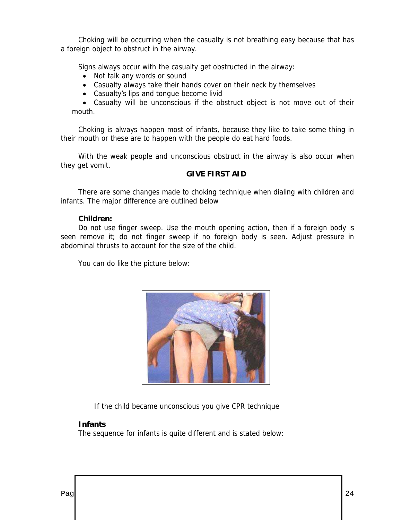Choking will be occurring when the casualty is not breathing easy because that has a foreign object to obstruct in the airway.

Signs always occur with the casualty get obstructed in the airway:

- Not talk any words or sound
- Casualty always take their hands cover on their neck by themselves
- Casualty's lips and tongue become livid

 Casualty will be unconscious if the obstruct object is not move out of their mouth.

Choking is always happen most of infants, because they like to take some thing in their mouth or these are to happen with the people do eat hard foods.

With the weak people and unconscious obstruct in the airway is also occur when they get vomit.

#### **GIVE FIRST AID**

There are some changes made to choking technique when dialing with children and infants. The major difference are outlined below

#### **Children:**

Do not use finger sweep. Use the mouth opening action, then if a foreign body is seen remove it; do not finger sweep if no foreign body is seen. Adjust pressure in abdominal thrusts to account for the size of the child.

You can do like the picture below:



If the child became unconscious you give CPR technique

#### **Infants**

The sequence for infants is quite different and is stated below: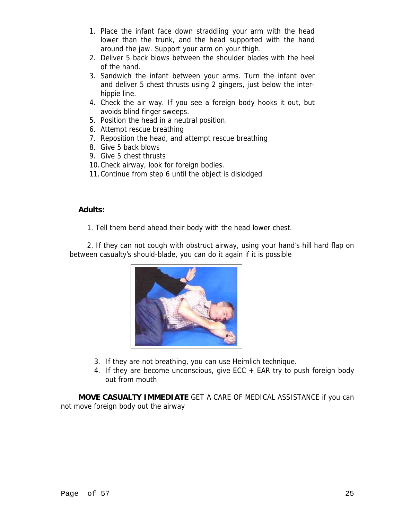- 1. Place the infant face down straddling your arm with the head lower than the trunk, and the head supported with the hand around the jaw. Support your arm on your thigh.
- 2. Deliver 5 back blows between the shoulder blades with the heel of the hand.
- 3. Sandwich the infant between your arms. Turn the infant over and deliver 5 chest thrusts using 2 gingers, just below the interhippie line.
- 4. Check the air way. If you see a foreign body hooks it out, but avoids blind finger sweeps.
- 5. Position the head in a neutral position.
- 6. Attempt rescue breathing
- 7. Reposition the head, and attempt rescue breathing
- 8. Give 5 back blows
- 9. Give 5 chest thrusts
- 10.Check airway, look for foreign bodies.
- 11.Continue from step 6 until the object is dislodged

#### **Adults:**

1. Tell them bend ahead their body with the head lower chest.

2. If they can not cough with obstruct airway, using your hand's hill hard flap on between casualty's should-blade, you can do it again if it is possible



- 3. If they are not breathing, you can use Heimlich technique.
- 4. If they are become unconscious, give ECC + EAR try to push foreign body out from mouth

**MOVE CASUALTY IMMEDIATE** GET A CARE OF MEDICAL ASSISTANCE if you can not move foreign body out the airway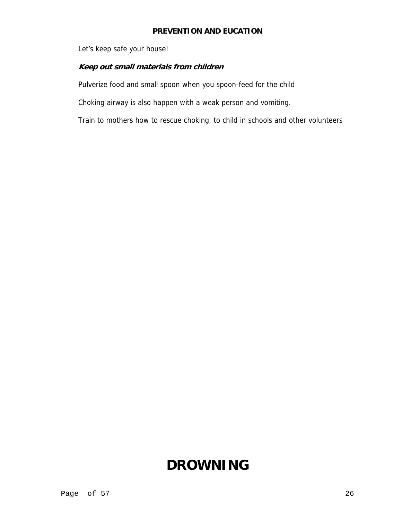### **PREVENTION AND EUCATION**

Let's keep safe your house!

## **Keep out small materials from children**

Pulverize food and small spoon when you spoon-feed for the child

Choking airway is also happen with a weak person and vomiting.

Train to mothers how to rescue choking, to child in schools and other volunteers

## **DROWNING**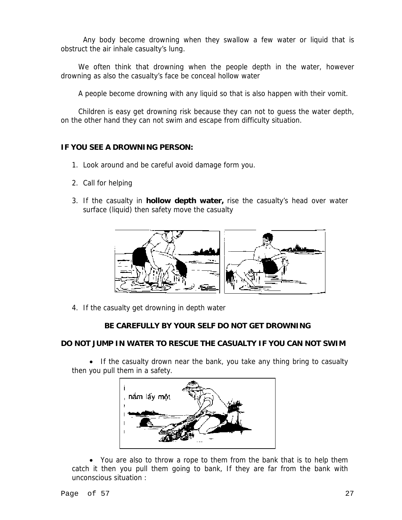Any body become drowning when they swallow a few water or liquid that is obstruct the air inhale casualty's lung.

We often think that drowning when the people depth in the water, however drowning as also the casualty's face be conceal hollow water

A people become drowning with any liquid so that is also happen with their vomit.

Children is easy get drowning risk because they can not to guess the water depth, on the other hand they can not swim and escape from difficulty situation.

#### **IF YOU SEE A DROWNING PERSON:**

- 1. Look around and be careful avoid damage form you.
- 2. Call for helping
- 3. If the casualty in **hollow depth water,** rise the casualty's head over water surface (liquid) then safety move the casualty



4. If the casualty get drowning in depth water

## **BE CAREFULLY BY YOUR SELF DO NOT GET DROWNING**

#### **DO NOT JUMP IN WATER TO RESCUE THE CASUALTY IF YOU CAN NOT SWIM**

• If the casualty drown near the bank, you take any thing bring to casualty then you pull them in a safety.



 You are also to throw a rope to them from the bank that is to help them catch it then you pull them going to bank, If they are far from the bank with unconscious situation :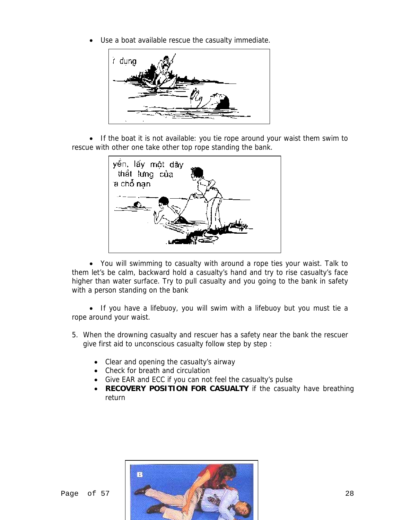Use a boat available rescue the casualty immediate.



• If the boat it is not available: you tie rope around your waist them swim to rescue with other one take other top rope standing the bank.



 You will swimming to casualty with around a rope ties your waist. Talk to them let's be calm, backward hold a casualty's hand and try to rise casualty's face higher than water surface. Try to pull casualty and you going to the bank in safety with a person standing on the bank

• If you have a lifebuoy, you will swim with a lifebuoy but you must tie a rope around your waist.

- 5. When the drowning casualty and rescuer has a safety near the bank the rescuer give first aid to unconscious casualty follow step by step :
	- Clear and opening the casualty's airway
	- Check for breath and circulation
	- Give EAR and ECC if you can not feel the casualty's pulse
	- **RECOVERY POSITION FOR CASUALTY** if the casualty have breathing return

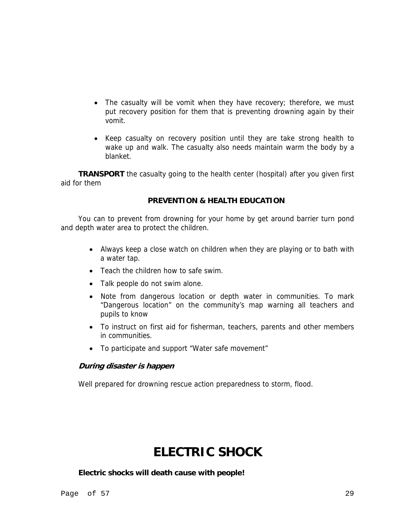- The casualty will be vomit when they have recovery; therefore, we must put recovery position for them that is preventing drowning again by their vomit.
- Keep casualty on recovery position until they are take strong health to wake up and walk. The casualty also needs maintain warm the body by a blanket.

**TRANSPORT** the casualty going to the health center (hospital) after you given first aid for them

#### **PREVENTION & HEALTH EDUCATION**

You can to prevent from drowning for your home by get around barrier turn pond and depth water area to protect the children.

- Always keep a close watch on children when they are playing or to bath with a water tap.
- Teach the children how to safe swim.
- Talk people do not swim alone.
- Note from dangerous location or depth water in communities. To mark "Dangerous location" on the community's map warning all teachers and pupils to know
- To instruct on first aid for fisherman, teachers, parents and other members in communities.
- To participate and support "Water safe movement"

#### **During disaster is happen**

Well prepared for drowning rescue action preparedness to storm, flood.

## **ELECTRIC SHOCK**

**Electric shocks will death cause with people!**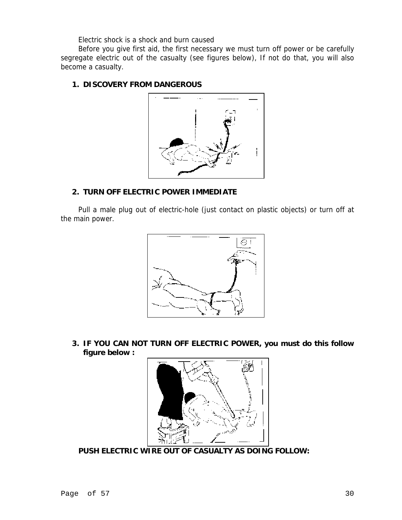Electric shock is a shock and burn caused

Before you give first aid, the first necessary we must turn off power or be carefully segregate electric out of the casualty (see figures below), If not do that, you will also become a casualty.

#### **1. DISCOVERY FROM DANGEROUS**



### **2. TURN OFF ELECTRIC POWER IMMEDIATE**

Pull a male plug out of electric-hole (just contact on plastic objects) or turn off at the main power.



**3. IF YOU CAN NOT TURN OFF ELECTRIC POWER, you must do this follow figure below :** 



**PUSH ELECTRIC WIRE OUT OF CASUALTY AS DOING FOLLOW:**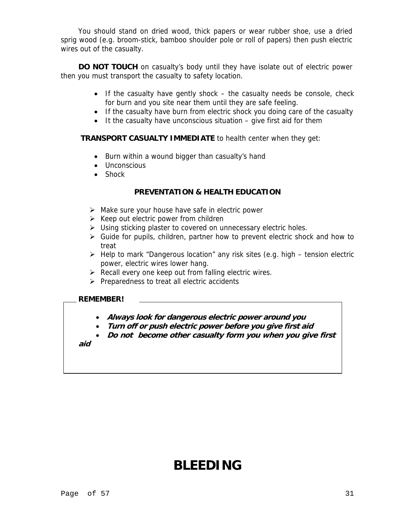You should stand on dried wood, thick papers or wear rubber shoe, use a dried sprig wood (e.g. broom-stick, bamboo shoulder pole or roll of papers) then push electric wires out of the casualty.

**DO NOT TOUCH** on casualty's body until they have isolate out of electric power then you must transport the casualty to safety location.

- If the casualty have gently shock  $-$  the casualty needs be console, check for burn and you site near them until they are safe feeling.
- If the casualty have burn from electric shock you doing care of the casualty
- $\bullet$  It the casualty have unconscious situation give first aid for them

#### **TRANSPORT CASUALTY IMMEDIATE** to health center when they get:

- Burn within a wound bigger than casualty's hand
- Unconscious
- Shock

#### **PREVENTATION & HEALTH EDUCATION**

- $\triangleright$  Make sure your house have safe in electric power
- $\triangleright$  Keep out electric power from children
- $\triangleright$  Using sticking plaster to covered on unnecessary electric holes.
- $\triangleright$  Guide for pupils, children, partner how to prevent electric shock and how to treat
- $\triangleright$  Help to mark "Dangerous location" any risk sites (e.g. high tension electric power, electric wires lower hang.
- $\triangleright$  Recall every one keep out from falling electric wires.
- $\triangleright$  Preparedness to treat all electric accidents

#### **REMEMBER!**

- **Always look for dangerous electric power around you**
- **Turn off or push electric power before you give first aid**
- **Do not become other casualty form you when you give first**

**aid** 

## **BLEEDING**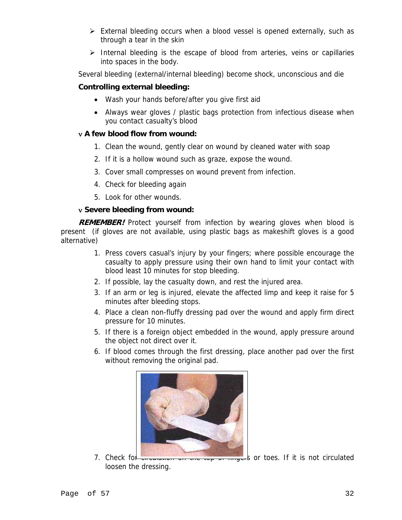- $\triangleright$  External bleeding occurs when a blood vessel is opened externally, such as through a tear in the skin
- $\triangleright$  Internal bleeding is the escape of blood from arteries, veins or capillaries into spaces in the body.

Several bleeding (external/internal bleeding) become shock, unconscious and die

### **Controlling external bleeding:**

- Wash your hands before/after you give first aid
- Always wear gloves / plastic bags protection from infectious disease when you contact casualty's blood

#### **v** A few blood flow from wound:

- 1. Clean the wound, gently clear on wound by cleaned water with soap
- 2. If it is a hollow wound such as graze, expose the wound.
- 3. Cover small compresses on wound prevent from infection.
- 4. Check for bleeding again
- 5. Look for other wounds.

#### **Severe bleeding from wound:**

**REMEMBER!** Protect yourself from infection by wearing gloves when blood is present (if gloves are not available, using plastic bags as makeshift gloves is a good alternative)

- 1. Press covers casual's injury by your fingers; where possible encourage the casualty to apply pressure using their own hand to limit your contact with blood least 10 minutes for stop bleeding.
- 2. If possible, lay the casualty down, and rest the injured area.
- 3. If an arm or leg is injured, elevate the affected limp and keep it raise for 5 minutes after bleeding stops.
- 4. Place a clean non-fluffy dressing pad over the wound and apply firm direct pressure for 10 minutes.
- 5. If there is a foreign object embedded in the wound, apply pressure around the object not direct over it.
- 6. If blood comes through the first dressing, place another pad over the first without removing the original pad.



7. Check for concurrent on the top of migust or toes. If it is not circulated loosen the dressing.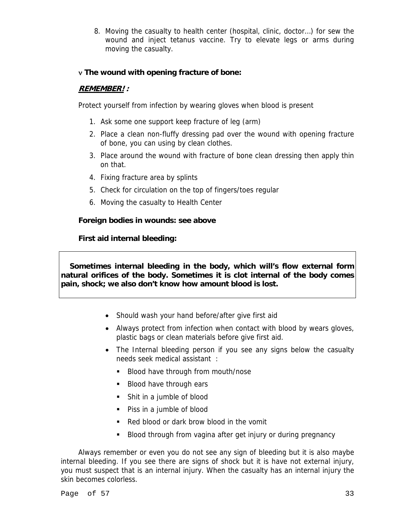8. Moving the casualty to health center (hospital, clinic, doctor…) for sew the wound and inject tetanus vaccine. Try to elevate legs or arms during moving the casualty.

### **The wound with opening fracture of bone:**

#### **REMEMBER! :**

Protect yourself from infection by wearing gloves when blood is present

- 1. Ask some one support keep fracture of leg (arm)
- 2. Place a clean non-fluffy dressing pad over the wound with opening fracture of bone, you can using by clean clothes.
- 3. Place around the wound with fracture of bone clean dressing then apply thin on that.
- 4. Fixing fracture area by splints
- 5. Check for circulation on the top of fingers/toes regular
- 6. Moving the casualty to Health Center

#### **Foreign bodies in wounds: see above**

#### **First aid internal bleeding:**

**Sometimes internal bleeding in the body, which will's flow external form natural orifices of the body. Sometimes it is clot internal of the body comes pain, shock; we also don't know how amount blood is lost.** 

- Should wash your hand before/after give first aid
- Always protect from infection when contact with blood by wears gloves, plastic bags or clean materials before give first aid.
- The Internal bleeding person if you see any signs below the casualty needs seek medical assistant :
	- **Blood have through from mouth/nose**
	- **Blood have through ears**
	- Shit in a jumble of blood
	- Piss in a jumble of blood
	- Red blood or dark brow blood in the vomit
	- Blood through from vagina after get injury or during pregnancy

Always remember or even you do not see any sign of bleeding but it is also maybe internal bleeding. If you see there are signs of shock but it is have not external injury, you must suspect that is an internal injury. When the casualty has an internal injury the skin becomes colorless.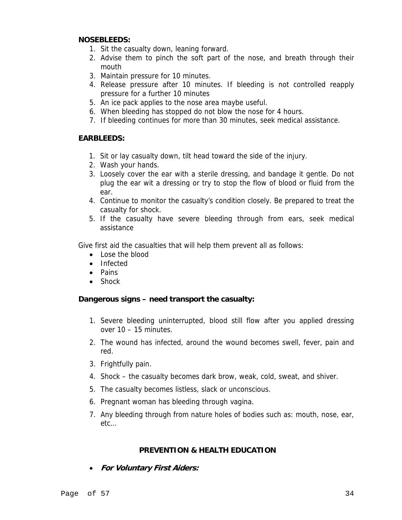#### **NOSEBLEEDS:**

- 1. Sit the casualty down, leaning forward.
- 2. Advise them to pinch the soft part of the nose, and breath through their mouth
- 3. Maintain pressure for 10 minutes.
- 4. Release pressure after 10 minutes. If bleeding is not controlled reapply pressure for a further 10 minutes
- 5. An ice pack applies to the nose area maybe useful.
- 6. When bleeding has stopped do not blow the nose for 4 hours.
- 7. If bleeding continues for more than 30 minutes, seek medical assistance.

#### **EARBLEEDS:**

- 1. Sit or lay casualty down, tilt head toward the side of the injury.
- 2. Wash your hands.
- 3. Loosely cover the ear with a sterile dressing, and bandage it gentle. Do not plug the ear wit a dressing or try to stop the flow of blood or fluid from the ear.
- 4. Continue to monitor the casualty's condition closely. Be prepared to treat the casualty for shock.
- 5. If the casualty have severe bleeding through from ears, seek medical assistance

Give first aid the casualties that will help them prevent all as follows:

- Lose the blood
- Infected
- Pains
- Shock

#### **Dangerous signs – need transport the casualty:**

- 1. Severe bleeding uninterrupted, blood still flow after you applied dressing over 10 – 15 minutes.
- 2. The wound has infected, around the wound becomes swell, fever, pain and red.
- 3. Frightfully pain.
- 4. Shock the casualty becomes dark brow, weak, cold, sweat, and shiver.
- 5. The casualty becomes listless, slack or unconscious.
- 6. Pregnant woman has bleeding through vagina.
- 7. Any bleeding through from nature holes of bodies such as: mouth, nose, ear, etc…

#### **PREVENTION & HEALTH EDUCATION**

**For Voluntary First Aiders:**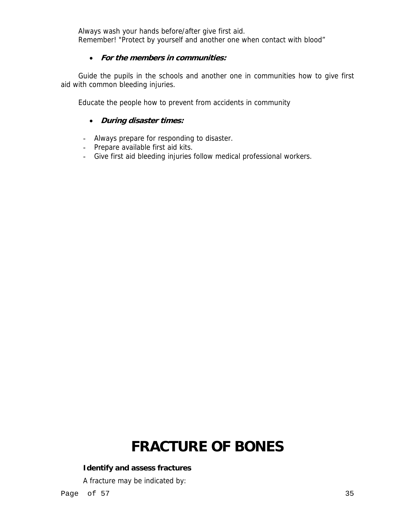Always wash your hands before/after give first aid. Remember! "Protect by yourself and another one when contact with blood"

#### **For the members in communities:**

Guide the pupils in the schools and another one in communities how to give first aid with common bleeding injuries.

Educate the people how to prevent from accidents in community

### **During disaster times:**

- Always prepare for responding to disaster.
- Prepare available first aid kits.
- Give first aid bleeding injuries follow medical professional workers.

## **FRACTURE OF BONES**

#### **Identify and assess fractures**

A fracture may be indicated by: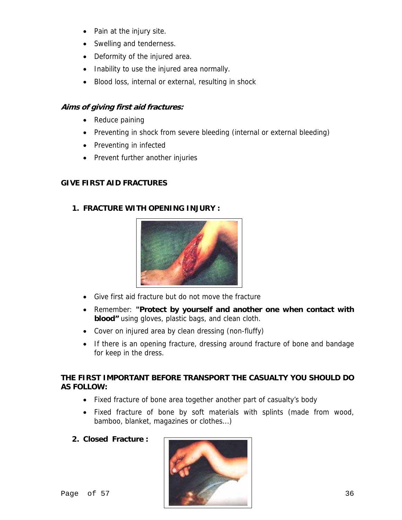- Pain at the injury site.
- Swelling and tenderness.
- Deformity of the injured area.
- Inability to use the injured area normally.
- Blood loss, internal or external, resulting in shock

## **Aims of giving first aid fractures:**

- Reduce paining
- Preventing in shock from severe bleeding (internal or external bleeding)
- Preventing in infected
- Prevent further another injuries

## **GIVE FIRST AID FRACTURES**

## **1. FRACTURE WITH OPENING INJURY :**



- Give first aid fracture but do not move the fracture
- Remember: **"Protect by yourself and another one when contact with blood"** using gloves, plastic bags, and clean cloth.
- Cover on injured area by clean dressing (non-fluffy)
- If there is an opening fracture, dressing around fracture of bone and bandage for keep in the dress.

## **THE FIRST IMPORTANT BEFORE TRANSPORT THE CASUALTY YOU SHOULD DO AS FOLLOW:**

- Fixed fracture of bone area together another part of casualty's body
- Fixed fracture of bone by soft materials with splints (made from wood, bamboo, blanket, magazines or clothes...)

## **2. Closed Fracture :**

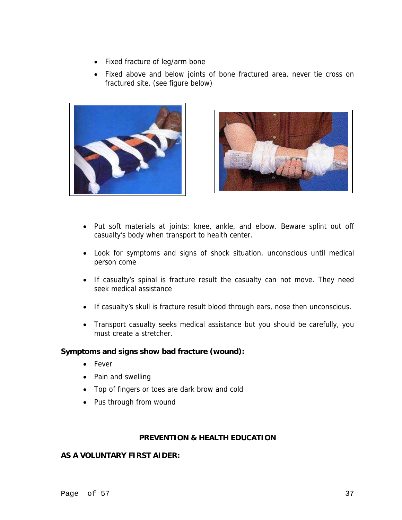- Fixed fracture of leg/arm bone
- Fixed above and below joints of bone fractured area, never tie cross on fractured site. (see figure below)





- Put soft materials at joints: knee, ankle, and elbow. Beware splint out off casualty's body when transport to health center.
- Look for symptoms and signs of shock situation, unconscious until medical person come
- If casualty's spinal is fracture result the casualty can not move. They need seek medical assistance
- If casualty's skull is fracture result blood through ears, nose then unconscious.
- Transport casualty seeks medical assistance but you should be carefully, you must create a stretcher.

#### **Symptoms and signs show bad fracture (wound):**

- Fever
- Pain and swelling
- Top of fingers or toes are dark brow and cold
- Pus through from wound

#### **PREVENTION & HEALTH EDUCATION**

#### **AS A VOLUNTARY FIRST AIDER:**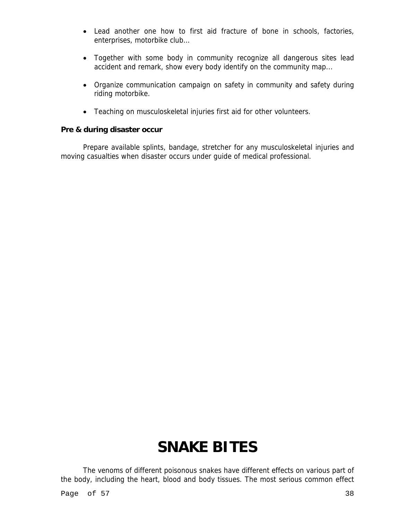- Lead another one how to first aid fracture of bone in schools, factories, enterprises, motorbike club…
- Together with some body in community recognize all dangerous sites lead accident and remark, show every body identify on the community map...
- Organize communication campaign on safety in community and safety during riding motorbike.
- Teaching on musculoskeletal injuries first aid for other volunteers.

#### **Pre & during disaster occur**

Prepare available splints, bandage, stretcher for any musculoskeletal injuries and moving casualties when disaster occurs under guide of medical professional.

# **SNAKE BITES**

 The venoms of different poisonous snakes have different effects on various part of the body, including the heart, blood and body tissues. The most serious common effect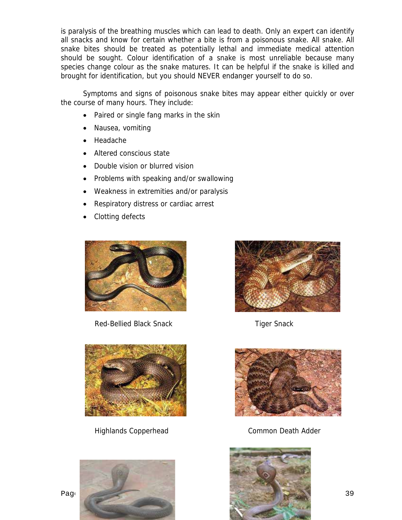is paralysis of the breathing muscles which can lead to death. Only an expert can identify all snacks and know for certain whether a bite is from a poisonous snake. All snake. All snake bites should be treated as potentially lethal and immediate medical attention should be sought. Colour identification of a snake is most unreliable because many species change colour as the snake matures. It can be helpful if the snake is killed and brought for identification, but you should NEVER endanger yourself to do so.

 Symptoms and signs of poisonous snake bites may appear either quickly or over the course of many hours. They include:

- Paired or single fang marks in the skin
- Nausea, vomiting
- Headache
- Altered conscious state
- Double vision or blurred vision
- Problems with speaking and/or swallowing
- Weakness in extremities and/or paralysis
- Respiratory distress or cardiac arrest
- Clotting defects



Red-Bellied Black Snack Tiger Snack



Highlands Copperhead Common Death Adder







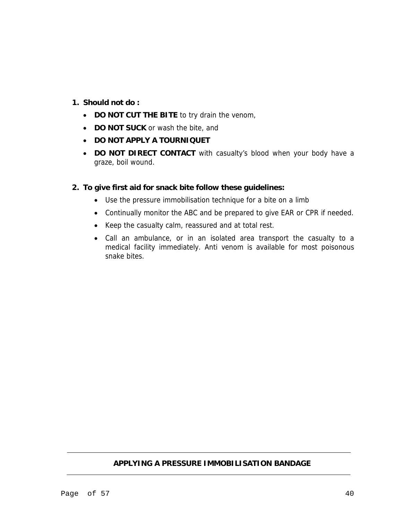- **1. Should not do :** 
	- **DO NOT CUT THE BITE** to try drain the venom,
	- **DO NOT SUCK** or wash the bite, and
	- **DO NOT APPLY A TOURNIQUET**
	- **DO NOT DIRECT CONTACT** with casualty's blood when your body have a graze, boil wound.

#### **2. To give first aid for snack bite follow these guidelines:**

- Use the pressure immobilisation technique for a bite on a limb
- Continually monitor the ABC and be prepared to give EAR or CPR if needed.
- Keep the casualty calm, reassured and at total rest.
- Call an ambulance, or in an isolated area transport the casualty to a medical facility immediately. Anti venom is available for most poisonous snake bites.

#### **APPLYING A PRESSURE IMMOBILISATION BANDAGE**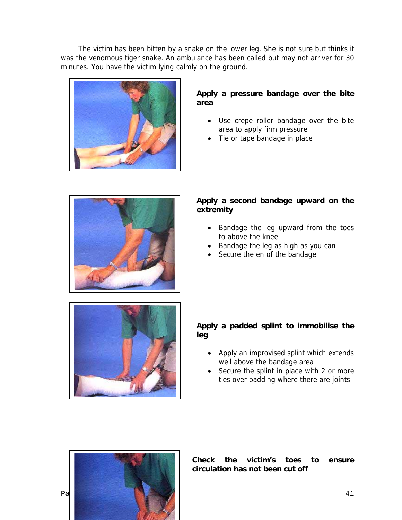The victim has been bitten by a snake on the lower leg. She is not sure but thinks it was the venomous tiger snake. An ambulance has been called but may not arriver for 30 minutes. You have the victim lying calmly on the ground.



## **Apply a pressure bandage over the bite area**

- Use crepe roller bandage over the bite area to apply firm pressure
- Tie or tape bandage in place



## **Apply a second bandage upward on the extremity**

- Bandage the leg upward from the toes to above the knee
- Bandage the leg as high as you can
- Secure the en of the bandage



## **Apply a padded splint to immobilise the leg**

- Apply an improvised splint which extends well above the bandage area
- Secure the splint in place with 2 or more ties over padding where there are joints



**Check the victim's toes to ensure circulation has not been cut off**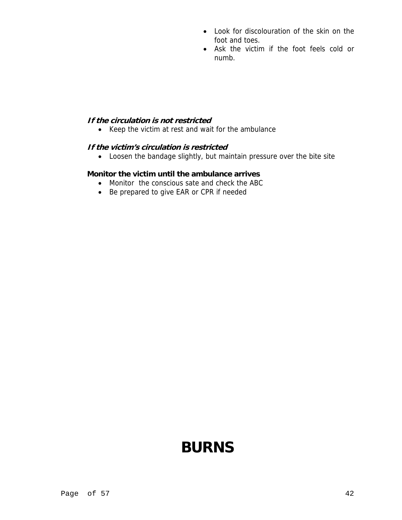- Look for discolouration of the skin on the foot and toes.
- Ask the victim if the foot feels cold or numb.

#### **If the circulation is not restricted**

• Keep the victim at rest and wait for the ambulance

## **If the victim's circulation is restricted**

Loosen the bandage slightly, but maintain pressure over the bite site

## **Monitor the victim until the ambulance arrives**

- Monitor the conscious sate and check the ABC
- Be prepared to give EAR or CPR if needed

# **BURNS**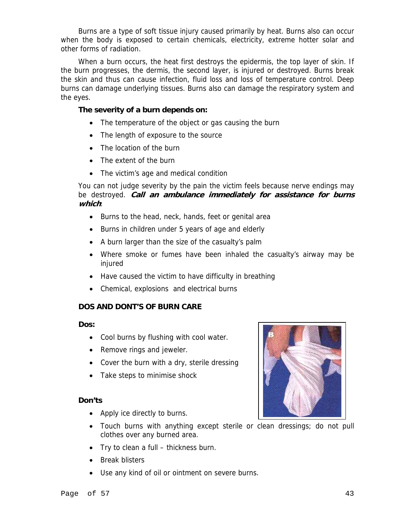Burns are a type of soft tissue injury caused primarily by heat. Burns also can occur when the body is exposed to certain chemicals, electricity, extreme hotter solar and other forms of radiation.

When a burn occurs, the heat first destroys the epidermis, the top layer of skin. If the burn progresses, the dermis, the second layer, is injured or destroyed. Burns break the skin and thus can cause infection, fluid loss and loss of temperature control. Deep burns can damage underlying tissues. Burns also can damage the respiratory system and the eyes.

#### **The severity of a burn depends on:**

- The temperature of the object or gas causing the burn
- The length of exposure to the source
- The location of the burn
- The extent of the burn
- The victim's age and medical condition

You can not judge severity by the pain the victim feels because nerve endings may be destroyed. **Call an ambulance immediately for assistance for burns which**:

- Burns to the head, neck, hands, feet or genital area
- Burns in children under 5 years of age and elderly
- A burn larger than the size of the casualty's palm
- Where smoke or fumes have been inhaled the casualty's airway may be injured
- Have caused the victim to have difficulty in breathing
- Chemical, explosions and electrical burns

## **DOS AND DONT'S OF BURN CARE**

**Dos:** 

- Cool burns by flushing with cool water.
- Remove rings and jeweler.
- Cover the burn with a dry, sterile dressing
- Take steps to minimise shock

#### **Don'ts**

- Apply ice directly to burns.
- Touch burns with anything except sterile or clean dressings; do not pull clothes over any burned area.
- Try to clean a full thickness burn.
- Break blisters
- Use any kind of oil or ointment on severe burns.

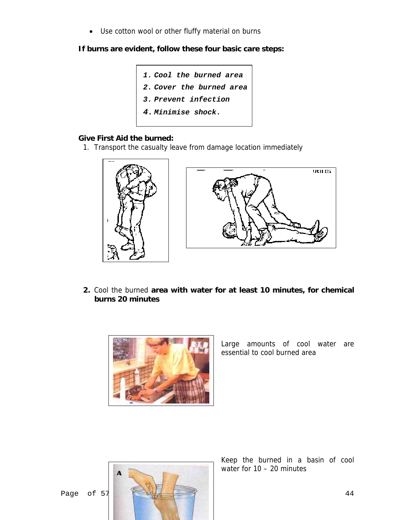Use cotton wool or other fluffy material on burns

**If burns are evident, follow these four basic care steps:** 

*1. Cool the burned area 2. Cover the burned area 3. Prevent infection 4. Minimise shock.*

#### **Give First Aid the burned:**

1. Transport the casualty leave from damage location immediately



**2.** Cool the burned **area with water for at least 10 minutes, for chemical burns 20 minutes** 



Large amounts of cool water are essential to cool burned area



Keep the burned in a basin of cool water for 10 – 20 minutes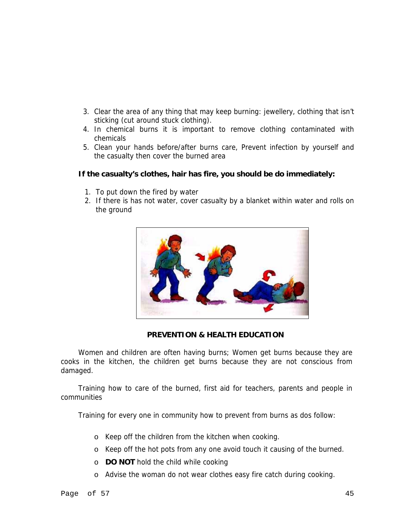- 3. Clear the area of any thing that may keep burning: jewellery, clothing that isn't sticking (cut around stuck clothing).
- 4. In chemical burns it is important to remove clothing contaminated with chemicals
- 5. Clean your hands before/after burns care, Prevent infection by yourself and the casualty then cover the burned area

#### **If the casualty's clothes, hair has fire, you should be do immediately:**

- 1. To put down the fired by water
- 2. If there is has not water, cover casualty by a blanket within water and rolls on the ground



#### **PREVENTION & HEALTH EDUCATION**

Women and children are often having burns; Women get burns because they are cooks in the kitchen, the children get burns because they are not conscious from damaged.

Training how to care of the burned, first aid for teachers, parents and people in communities

Training for every one in community how to prevent from burns as dos follow:

- o Keep off the children from the kitchen when cooking.
- o Keep off the hot pots from any one avoid touch it causing of the burned.
- o **DO NOT** hold the child while cooking
- o Advise the woman do not wear clothes easy fire catch during cooking.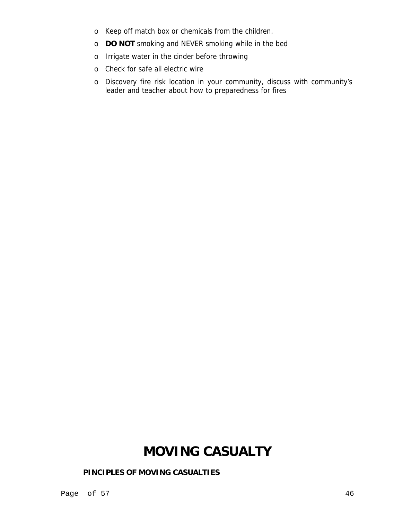- o Keep off match box or chemicals from the children.
- o **DO NOT** smoking and NEVER smoking while in the bed
- o Irrigate water in the cinder before throwing
- o Check for safe all electric wire
- o Discovery fire risk location in your community, discuss with community's leader and teacher about how to preparedness for fires

## **MOVING CASUALTY**

#### **PINCIPLES OF MOVING CASUALTIES**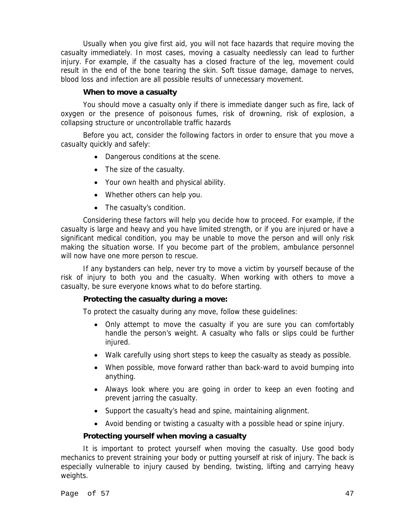Usually when you give first aid, you will not face hazards that require moving the casualty immediately. In most cases, moving a casualty needlessly can lead to further injury. For example, if the casualty has a closed fracture of the leg, movement could result in the end of the bone tearing the skin. Soft tissue damage, damage to nerves, blood loss and infection are all possible results of unnecessary movement.

#### **When to move a casualty**

You should move a casualty only if there is immediate danger such as fire, lack of oxygen or the presence of poisonous fumes, risk of drowning, risk of explosion, a collapsing structure or uncontrollable traffic hazards

Before you act, consider the following factors in order to ensure that you move a casualty quickly and safely:

- Dangerous conditions at the scene.
- The size of the casualty.
- Your own health and physical ability.
- Whether others can help you.
- The casualty's condition.

Considering these factors will help you decide how to proceed. For example, if the casualty is large and heavy and you have limited strength, or if you are injured or have a significant medical condition, you may be unable to move the person and will only risk making the situation worse. If you become part of the problem, ambulance personnel will now have one more person to rescue.

If any bystanders can help, never try to move a victim by yourself because of the risk of injury to both you and the casualty. When working with others to move a casualty, be sure everyone knows what to do before starting.

#### **Protecting the casualty during a move:**

To protect the casualty during any move, follow these guidelines:

- Only attempt to move the casualty if you are sure you can comfortably handle the person's weight. A casualty who falls or slips could be further injured.
- Walk carefully using short steps to keep the casualty as steady as possible.
- When possible, move forward rather than back-ward to avoid bumping into anything.
- Always look where you are going in order to keep an even footing and prevent jarring the casualty.
- Support the casualty's head and spine, maintaining alignment.
- Avoid bending or twisting a casualty with a possible head or spine injury.

#### **Protecting yourself when moving a casualty**

It is important to protect yourself when moving the casualty. Use good body mechanics to prevent straining your body or putting yourself at risk of injury. The back is especially vulnerable to injury caused by bending, twisting, lifting and carrying heavy weights.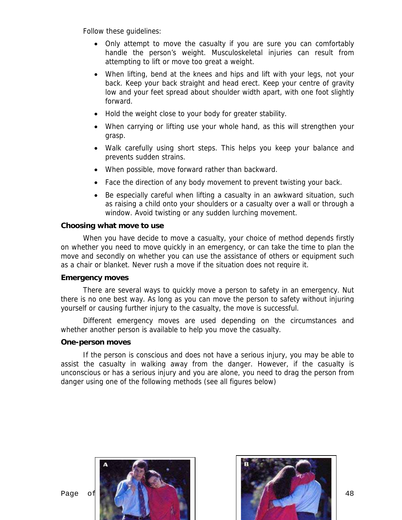Follow these guidelines:

- Only attempt to move the casualty if you are sure you can comfortably handle the person's weight. Musculoskeletal injuries can result from attempting to lift or move too great a weight.
- When lifting, bend at the knees and hips and lift with your legs, not your back. Keep your back straight and head erect. Keep your centre of gravity low and your feet spread about shoulder width apart, with one foot slightly forward.
- Hold the weight close to your body for greater stability.
- When carrying or lifting use your whole hand, as this will strengthen your grasp.
- Walk carefully using short steps. This helps you keep your balance and prevents sudden strains.
- When possible, move forward rather than backward.
- Face the direction of any body movement to prevent twisting your back.
- Be especially careful when lifting a casualty in an awkward situation, such as raising a child onto your shoulders or a casualty over a wall or through a window. Avoid twisting or any sudden lurching movement.

#### **Choosing what move to use**

When you have decide to move a casualty, your choice of method depends firstly on whether you need to move quickly in an emergency, or can take the time to plan the move and secondly on whether you can use the assistance of others or equipment such as a chair or blanket. Never rush a move if the situation does not require it.

#### **Emergency moves**

There are several ways to quickly move a person to safety in an emergency. Nut there is no one best way. As long as you can move the person to safety without injuring yourself or causing further injury to the casualty, the move is successful.

Different emergency moves are used depending on the circumstances and whether another person is available to help you move the casualty.

#### **One-person moves**

If the person is conscious and does not have a serious injury, you may be able to assist the casualty in walking away from the danger. However, if the casualty is unconscious or has a serious injury and you are alone, you need to drag the person from danger using one of the following methods (see all figures below)



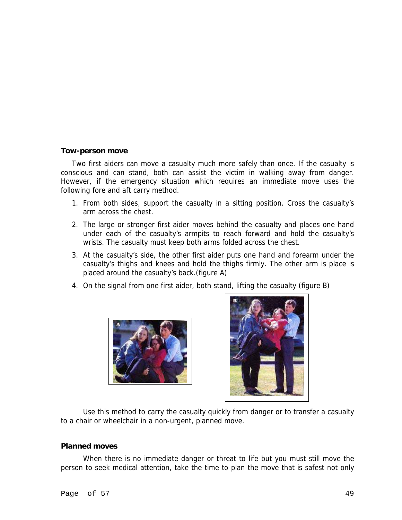#### **Tow-person move**

Two first aiders can move a casualty much more safely than once. If the casualty is conscious and can stand, both can assist the victim in walking away from danger. However, if the emergency situation which requires an immediate move uses the following fore and aft carry method.

- 1. From both sides, support the casualty in a sitting position. Cross the casualty's arm across the chest.
- 2. The large or stronger first aider moves behind the casualty and places one hand under each of the casualty's armpits to reach forward and hold the casualty's wrists. The casualty must keep both arms folded across the chest.
- 3. At the casualty's side, the other first aider puts one hand and forearm under the casualty's thighs and knees and hold the thighs firmly. The other arm is place is placed around the casualty's back.(figure A)
- 4. On the signal from one first aider, both stand, lifting the casualty (figure B)





Use this method to carry the casualty quickly from danger or to transfer a casualty to a chair or wheelchair in a non-urgent, planned move.

#### **Planned moves**

When there is no immediate danger or threat to life but you must still move the person to seek medical attention, take the time to plan the move that is safest not only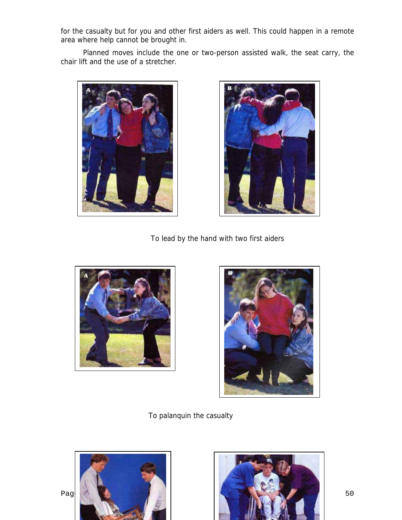for the casualty but for you and other first aiders as well. This could happen in a remote area where help cannot be brought in.

Planned moves include the one or two-person assisted walk, the seat carry, the chair lift and the use of a stretcher.





To lead by the hand with two first aiders





To palanquin the casualty



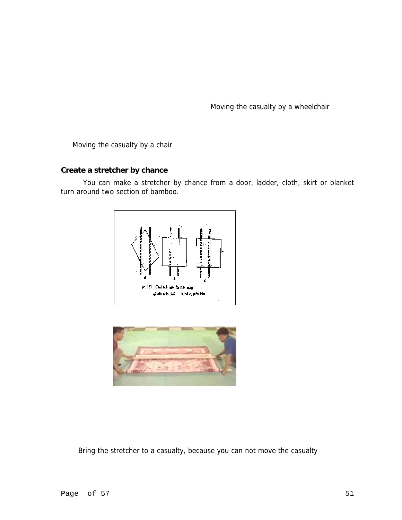Moving the casualty by a wheelchair

Moving the casualty by a chair

### **Create a stretcher by chance**

You can make a stretcher by chance from a door, ladder, cloth, skirt or blanket turn around two section of bamboo.





Bring the stretcher to a casualty, because you can not move the casualty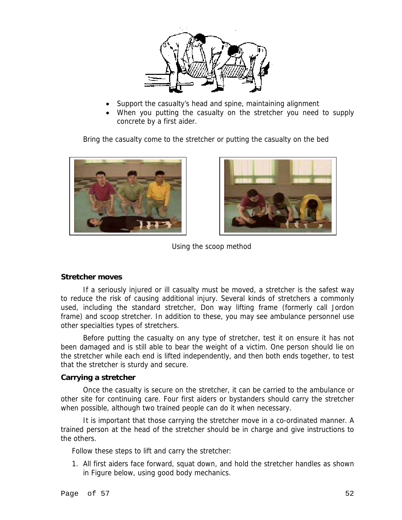

- Support the casualty's head and spine, maintaining alignment
- When you putting the casualty on the stretcher you need to supply concrete by a first aider.

Bring the casualty come to the stretcher or putting the casualty on the bed





Using the scoop method

#### **Stretcher moves**

If a seriously injured or ill casualty must be moved, a stretcher is the safest way to reduce the risk of causing additional injury. Several kinds of stretchers a commonly used, including the standard stretcher, Don way lifting frame (formerly call Jordon frame) and scoop stretcher. In addition to these, you may see ambulance personnel use other specialties types of stretchers.

Before putting the casualty on any type of stretcher, test it on ensure it has not been damaged and is still able to bear the weight of a victim. One person should lie on the stretcher while each end is lifted independently, and then both ends together, to test that the stretcher is sturdy and secure.

#### **Carrying a stretcher**

Once the casualty is secure on the stretcher, it can be carried to the ambulance or other site for continuing care. Four first aiders or bystanders should carry the stretcher when possible, although two trained people can do it when necessary.

It is important that those carrying the stretcher move in a co-ordinated manner. A trained person at the head of the stretcher should be in charge and give instructions to the others.

Follow these steps to lift and carry the stretcher:

1. All first aiders face forward, squat down, and hold the stretcher handles as shown in Figure below, using good body mechanics.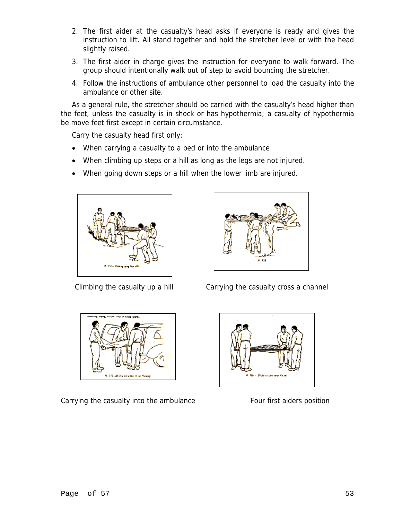- 2. The first aider at the casualty's head asks if everyone is ready and gives the instruction to lift. All stand together and hold the stretcher level or with the head slightly raised.
- 3. The first aider in charge gives the instruction for everyone to walk forward. The group should intentionally walk out of step to avoid bouncing the stretcher.
- 4. Follow the instructions of ambulance other personnel to load the casualty into the ambulance or other site.

As a general rule, the stretcher should be carried with the casualty's head higher than the feet, unless the casualty is in shock or has hypothermia; a casualty of hypothermia be move feet first except in certain circumstance.

Carry the casualty head first only:

- When carrying a casualty to a bed or into the ambulance
- When climbing up steps or a hill as long as the legs are not injured.
- When going down steps or a hill when the lower limb are injured.





Climbing the casualty up a hill Carrying the casualty cross a channel



Carrying the casualty into the ambulance Four first aiders position

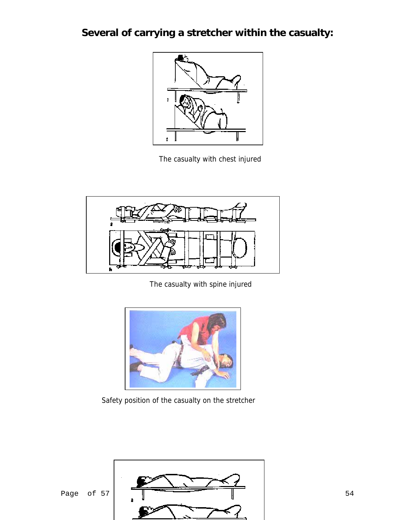## **Several of carrying a stretcher within the casualty:**



The casualty with chest injured



The casualty with spine injured



Safety position of the casualty on the stretcher

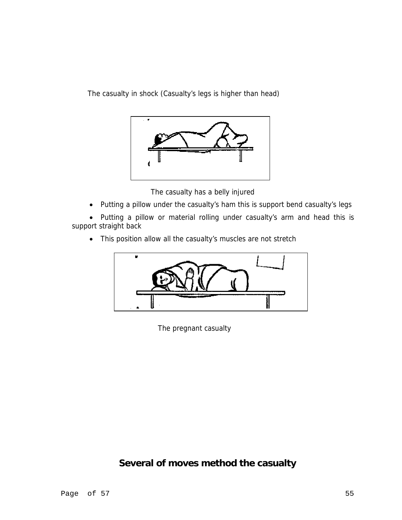The casualty in shock (Casualty's legs is higher than head)



The casualty has a belly injured

• Putting a pillow under the casualty's ham this is support bend casualty's legs

 Putting a pillow or material rolling under casualty's arm and head this is support straight back

• This position allow all the casualty's muscles are not stretch



The pregnant casualty

## **Several of moves method the casualty**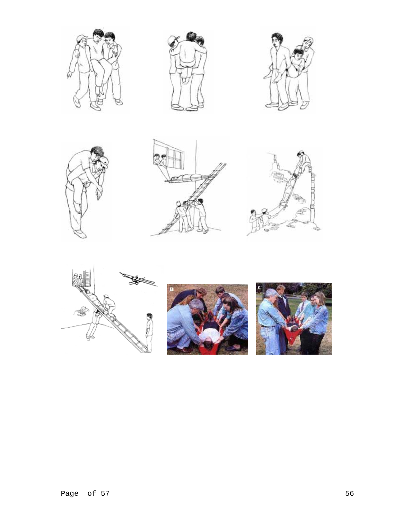